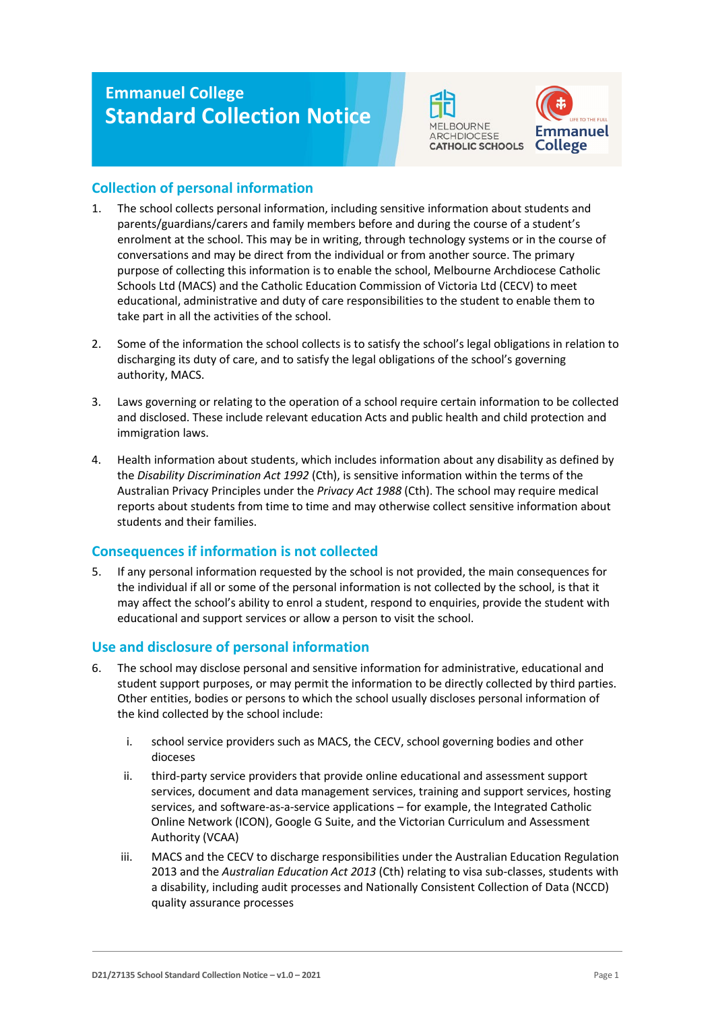# **Emmanuel College Standard Collection Notice**





## **Collection of personal information**

- 1. The school collects personal information, including sensitive information about students and parents/guardians/carers and family members before and during the course of a student's enrolment at the school. This may be in writing, through technology systems or in the course of conversations and may be direct from the individual or from another source. The primary purpose of collecting this information is to enable the school, Melbourne Archdiocese Catholic Schools Ltd (MACS) and the Catholic Education Commission of Victoria Ltd (CECV) to meet educational, administrative and duty of care responsibilities to the student to enable them to take part in all the activities of the school.
- 2. Some of the information the school collects is to satisfy the school's legal obligations in relation to discharging its duty of care, and to satisfy the legal obligations of the school's governing authority, MACS.
- 3. Laws governing or relating to the operation of a school require certain information to be collected and disclosed. These include relevant education Acts and public health and child protection and immigration laws.
- 4. Health information about students, which includes information about any disability as defined by the *Disability Discrimination Act 1992* (Cth), is sensitive information within the terms of the Australian Privacy Principles under the *Privacy Act 1988* (Cth). The school may require medical reports about students from time to time and may otherwise collect sensitive information about students and their families.

# **Consequences if information is not collected**

5. If any personal information requested by the school is not provided, the main consequences for the individual if all or some of the personal information is not collected by the school, is that it may affect the school's ability to enrol a student, respond to enquiries, provide the student with educational and support services or allow a person to visit the school.

# **Use and disclosure of personal information**

- 6. The school may disclose personal and sensitive information for administrative, educational and student support purposes, or may permit the information to be directly collected by third parties. Other entities, bodies or persons to which the school usually discloses personal information of the kind collected by the school include:
	- i. school service providers such as MACS, the CECV, school governing bodies and other dioceses
	- ii. third-party service providers that provide online educational and assessment support services, document and data management services, training and support services, hosting services, and software-as-a-service applications – for example, the Integrated Catholic Online Network (ICON), Google G Suite, and the Victorian Curriculum and Assessment Authority (VCAA)
	- iii. MACS and the CECV to discharge responsibilities under the Australian Education Regulation 2013 and the *Australian Education Act 2013* (Cth) relating to visa sub-classes, students with a disability, including audit processes and Nationally Consistent Collection of Data (NCCD) quality assurance processes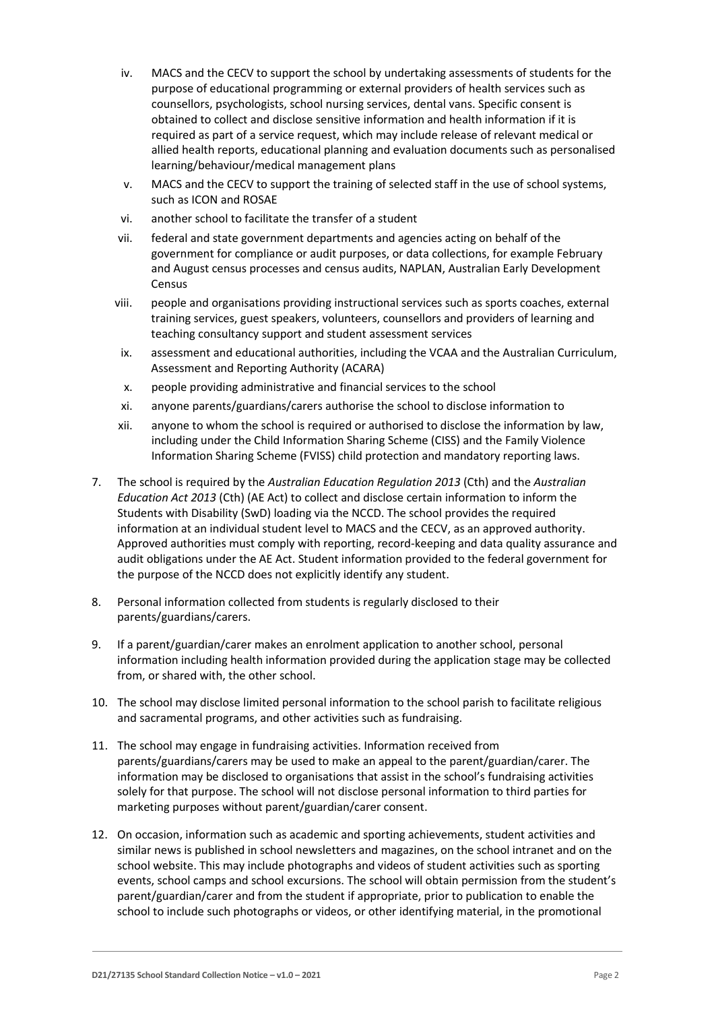- iv. MACS and the CECV to support the school by undertaking assessments of students for the purpose of educational programming or external providers of health services such as counsellors, psychologists, school nursing services, dental vans. Specific consent is obtained to collect and disclose sensitive information and health information if it is required as part of a service request, which may include release of relevant medical or allied health reports, educational planning and evaluation documents such as personalised learning/behaviour/medical management plans
- v. MACS and the CECV to support the training of selected staff in the use of school systems, such as ICON and ROSAE
- vi. another school to facilitate the transfer of a student
- vii. federal and state government departments and agencies acting on behalf of the government for compliance or audit purposes, or data collections, for example February and August census processes and census audits, NAPLAN, Australian Early Development Census
- viii. people and organisations providing instructional services such as sports coaches, external training services, guest speakers, volunteers, counsellors and providers of learning and teaching consultancy support and student assessment services
- ix. assessment and educational authorities, including the VCAA and the Australian Curriculum, Assessment and Reporting Authority (ACARA)
- x. people providing administrative and financial services to the school
- xi. anyone parents/guardians/carers authorise the school to disclose information to
- xii. anyone to whom the school is required or authorised to disclose the information by law, including under the Child Information Sharing Scheme (CISS) and the Family Violence Information Sharing Scheme (FVISS) child protection and mandatory reporting laws.
- 7. The school is required by the *Australian Education Regulation 2013* (Cth) and the *Australian Education Act 2013* (Cth) (AE Act) to collect and disclose certain information to inform the Students with Disability (SwD) loading via the NCCD. The school provides the required information at an individual student level to MACS and the CECV, as an approved authority. Approved authorities must comply with reporting, record-keeping and data quality assurance and audit obligations under the AE Act. Student information provided to the federal government for the purpose of the NCCD does not explicitly identify any student.
- 8. Personal information collected from students is regularly disclosed to their parents/guardians/carers.
- 9. If a parent/guardian/carer makes an enrolment application to another school, personal information including health information provided during the application stage may be collected from, or shared with, the other school.
- 10. The school may disclose limited personal information to the school parish to facilitate religious and sacramental programs, and other activities such as fundraising.
- 11. The school may engage in fundraising activities. Information received from parents/guardians/carers may be used to make an appeal to the parent/guardian/carer. The information may be disclosed to organisations that assist in the school's fundraising activities solely for that purpose. The school will not disclose personal information to third parties for marketing purposes without parent/guardian/carer consent.
- 12. On occasion, information such as academic and sporting achievements, student activities and similar news is published in school newsletters and magazines, on the school intranet and on the school website. This may include photographs and videos of student activities such as sporting events, school camps and school excursions. The school will obtain permission from the student's parent/guardian/carer and from the student if appropriate, prior to publication to enable the school to include such photographs or videos, or other identifying material, in the promotional